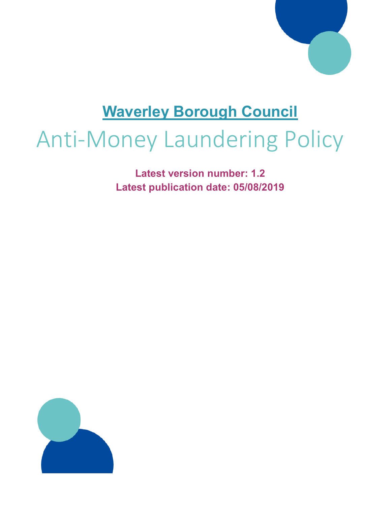

## **Waverley Borough Council**

# Anti-Money Laundering Policy

**Latest version number: 1.2 Latest publication date: 05/08/2019**

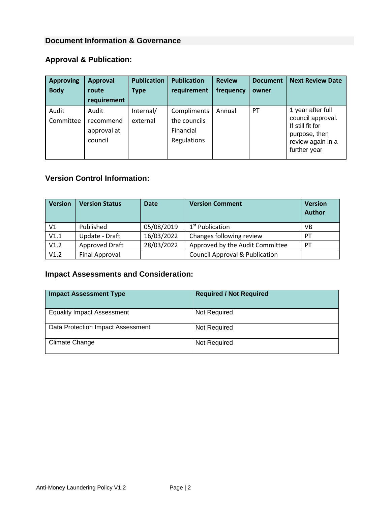#### **Document Information & Governance**

#### **Approval & Publication:**

| <b>Approving</b><br><b>Body</b> | <b>Approval</b><br>route<br>requirement      | <b>Publication</b><br><b>Type</b> | <b>Publication</b><br>requirement                       | <b>Review</b><br>frequency | <b>Document</b><br>owner | <b>Next Review Date</b>                                                                                          |
|---------------------------------|----------------------------------------------|-----------------------------------|---------------------------------------------------------|----------------------------|--------------------------|------------------------------------------------------------------------------------------------------------------|
| Audit<br>Committee              | Audit<br>recommend<br>approval at<br>council | Internal/<br>external             | Compliments<br>the councils<br>Financial<br>Regulations | Annual                     | PT                       | 1 year after full<br>council approval.<br>If still fit for<br>purpose, then<br>review again in a<br>further year |

#### **Version Control Information:**

| <b>Version</b> | <b>Version Status</b> | <b>Date</b> | <b>Version Comment</b>                    | <b>Version</b><br><b>Author</b> |
|----------------|-----------------------|-------------|-------------------------------------------|---------------------------------|
| V1             | Published             | 05/08/2019  | 1 <sup>st</sup> Publication               | <b>VB</b>                       |
| V1.1           | Update - Draft        | 16/03/2022  | Changes following review                  | <b>PT</b>                       |
| V1.2           | Approved Draft        | 28/03/2022  | Approved by the Audit Committee           | <b>PT</b>                       |
| V1.2           | <b>Final Approval</b> |             | <b>Council Approval &amp; Publication</b> |                                 |

#### **Impact Assessments and Consideration:**

| <b>Impact Assessment Type</b>     | <b>Required / Not Required</b> |
|-----------------------------------|--------------------------------|
| <b>Equality Impact Assessment</b> | Not Required                   |
| Data Protection Impact Assessment | Not Required                   |
| Climate Change                    | Not Required                   |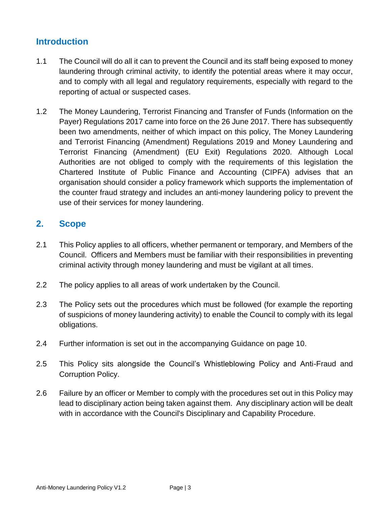#### **Introduction**

- 1.1 The Council will do all it can to prevent the Council and its staff being exposed to money laundering through criminal activity, to identify the potential areas where it may occur, and to comply with all legal and regulatory requirements, especially with regard to the reporting of actual or suspected cases.
- 1.2 The Money Laundering, Terrorist Financing and Transfer of Funds (Information on the Payer) Regulations 2017 came into force on the 26 June 2017. There has subsequently been two amendments, neither of which impact on this policy, The Money Laundering and Terrorist Financing (Amendment) Regulations 2019 and Money Laundering and Terrorist Financing (Amendment) (EU Exit) Regulations 2020. Although Local Authorities are not obliged to comply with the requirements of this legislation the Chartered Institute of Public Finance and Accounting (CIPFA) advises that an organisation should consider a policy framework which supports the implementation of the counter fraud strategy and includes an anti-money laundering policy to prevent the use of their services for money laundering.

#### **2. Scope**

- 2.1 This Policy applies to all officers, whether permanent or temporary, and Members of the Council. Officers and Members must be familiar with their responsibilities in preventing criminal activity through money laundering and must be vigilant at all times.
- 2.2 The policy applies to all areas of work undertaken by the Council.
- 2.3 The Policy sets out the procedures which must be followed (for example the reporting of suspicions of money laundering activity) to enable the Council to comply with its legal obligations.
- 2.4 Further information is set out in the accompanying Guidance on page 10.
- 2.5 This Policy sits alongside the Council's Whistleblowing Policy and Anti-Fraud and Corruption Policy.
- 2.6 Failure by an officer or Member to comply with the procedures set out in this Policy may lead to disciplinary action being taken against them. Any disciplinary action will be dealt with in accordance with the Council's Disciplinary and Capability Procedure.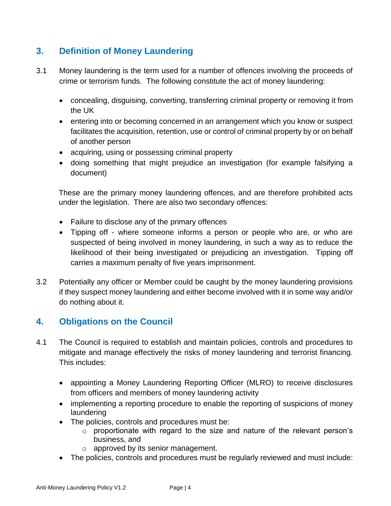#### **3. Definition of Money Laundering**

- 3.1 Money laundering is the term used for a number of offences involving the proceeds of crime or terrorism funds. The following constitute the act of money laundering:
	- concealing, disguising, converting, transferring criminal property or removing it from the UK
	- entering into or becoming concerned in an arrangement which you know or suspect facilitates the acquisition, retention, use or control of criminal property by or on behalf of another person
	- acquiring, using or possessing criminal property
	- doing something that might prejudice an investigation (for example falsifying a document)

These are the primary money laundering offences, and are therefore prohibited acts under the legislation. There are also two secondary offences:

- Failure to disclose any of the primary offences
- Tipping off where someone informs a person or people who are, or who are suspected of being involved in money laundering, in such a way as to reduce the likelihood of their being investigated or prejudicing an investigation. Tipping off carries a maximum penalty of five years imprisonment.
- 3.2 Potentially any officer or Member could be caught by the money laundering provisions if they suspect money laundering and either become involved with it in some way and/or do nothing about it.

#### **4. Obligations on the Council**

- 4.1 The Council is required to establish and maintain policies, controls and procedures to mitigate and manage effectively the risks of money laundering and terrorist financing. This includes:
	- appointing a Money Laundering Reporting Officer (MLRO) to receive disclosures from officers and members of money laundering activity
	- implementing a reporting procedure to enable the reporting of suspicions of money laundering
	- The policies, controls and procedures must be:
		- o proportionate with regard to the size and nature of the relevant person's business, and
		- o approved by its senior management.
	- The policies, controls and procedures must be regularly reviewed and must include: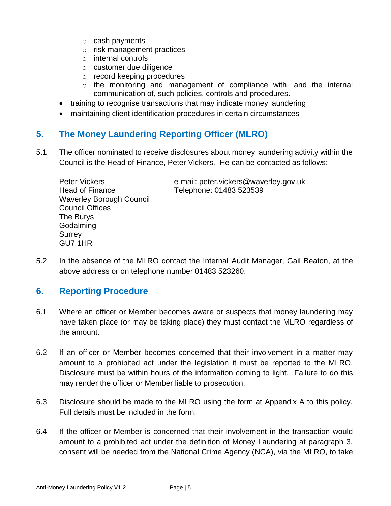- o cash payments
- o risk management practices
- o internal controls
- o customer due diligence
- o record keeping procedures
- o the monitoring and management of compliance with, and the internal communication of, such policies, controls and procedures.
- training to recognise transactions that may indicate money laundering
- maintaining client identification procedures in certain circumstances

#### **5. The Money Laundering Reporting Officer (MLRO)**

5.1 The officer nominated to receive disclosures about money laundering activity within the Council is the Head of Finance, Peter Vickers. He can be contacted as follows:

Head of Finance Telephone: 01483 523539 Waverley Borough Council Council Offices The Burys Godalming Surrey GU7 1HR

Peter Vickers e-mail: peter.vickers@waverley.gov.uk

5.2 In the absence of the MLRO contact the Internal Audit Manager, Gail Beaton, at the above address or on telephone number 01483 523260.

#### **6. Reporting Procedure**

- 6.1 Where an officer or Member becomes aware or suspects that money laundering may have taken place (or may be taking place) they must contact the MLRO regardless of the amount.
- 6.2 If an officer or Member becomes concerned that their involvement in a matter may amount to a prohibited act under the legislation it must be reported to the MLRO. Disclosure must be within hours of the information coming to light. Failure to do this may render the officer or Member liable to prosecution.
- 6.3 Disclosure should be made to the MLRO using the form at Appendix A to this policy. Full details must be included in the form.
- 6.4 If the officer or Member is concerned that their involvement in the transaction would amount to a prohibited act under the definition of Money Laundering at paragraph 3. consent will be needed from the National Crime Agency (NCA), via the MLRO, to take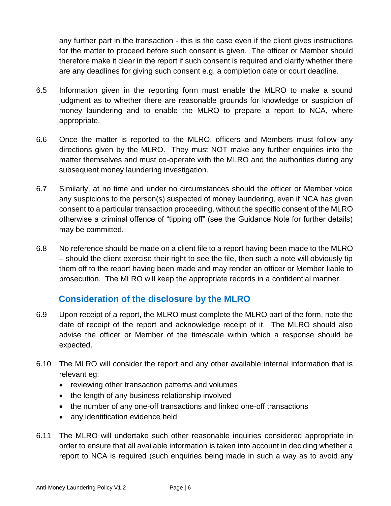any further part in the transaction - this is the case even if the client gives instructions for the matter to proceed before such consent is given. The officer or Member should therefore make it clear in the report if such consent is required and clarify whether there are any deadlines for giving such consent e.g. a completion date or court deadline.

- 6.5 Information given in the reporting form must enable the MLRO to make a sound judgment as to whether there are reasonable grounds for knowledge or suspicion of money laundering and to enable the MLRO to prepare a report to NCA, where appropriate.
- 6.6 Once the matter is reported to the MLRO, officers and Members must follow any directions given by the MLRO. They must NOT make any further enquiries into the matter themselves and must co-operate with the MLRO and the authorities during any subsequent money laundering investigation.
- 6.7 Similarly, at no time and under no circumstances should the officer or Member voice any suspicions to the person(s) suspected of money laundering, even if NCA has given consent to a particular transaction proceeding, without the specific consent of the MLRO otherwise a criminal offence of "tipping off" (see the Guidance Note for further details) may be committed.
- 6.8 No reference should be made on a client file to a report having been made to the MLRO – should the client exercise their right to see the file, then such a note will obviously tip them off to the report having been made and may render an officer or Member liable to prosecution. The MLRO will keep the appropriate records in a confidential manner.

#### **Consideration of the disclosure by the MLRO**

- 6.9 Upon receipt of a report, the MLRO must complete the MLRO part of the form, note the date of receipt of the report and acknowledge receipt of it. The MLRO should also advise the officer or Member of the timescale within which a response should be expected.
- 6.10 The MLRO will consider the report and any other available internal information that is relevant eg:
	- reviewing other transaction patterns and volumes
	- the length of any business relationship involved
	- the number of any one-off transactions and linked one-off transactions
	- any identification evidence held
- 6.11 The MLRO will undertake such other reasonable inquiries considered appropriate in order to ensure that all available information is taken into account in deciding whether a report to NCA is required (such enquiries being made in such a way as to avoid any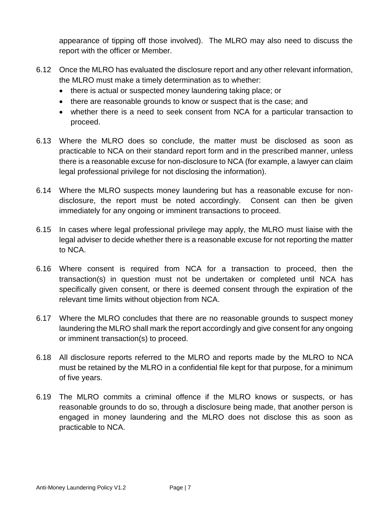appearance of tipping off those involved). The MLRO may also need to discuss the report with the officer or Member.

- 6.12 Once the MLRO has evaluated the disclosure report and any other relevant information, the MLRO must make a timely determination as to whether:
	- there is actual or suspected money laundering taking place; or
	- there are reasonable grounds to know or suspect that is the case; and
	- whether there is a need to seek consent from NCA for a particular transaction to proceed.
- 6.13 Where the MLRO does so conclude, the matter must be disclosed as soon as practicable to NCA on their standard report form and in the prescribed manner, unless there is a reasonable excuse for non-disclosure to NCA (for example, a lawyer can claim legal professional privilege for not disclosing the information).
- 6.14 Where the MLRO suspects money laundering but has a reasonable excuse for nondisclosure, the report must be noted accordingly. Consent can then be given immediately for any ongoing or imminent transactions to proceed.
- 6.15 In cases where legal professional privilege may apply, the MLRO must liaise with the legal adviser to decide whether there is a reasonable excuse for not reporting the matter to NCA.
- 6.16 Where consent is required from NCA for a transaction to proceed, then the transaction(s) in question must not be undertaken or completed until NCA has specifically given consent, or there is deemed consent through the expiration of the relevant time limits without objection from NCA.
- 6.17 Where the MLRO concludes that there are no reasonable grounds to suspect money laundering the MLRO shall mark the report accordingly and give consent for any ongoing or imminent transaction(s) to proceed.
- 6.18 All disclosure reports referred to the MLRO and reports made by the MLRO to NCA must be retained by the MLRO in a confidential file kept for that purpose, for a minimum of five years.
- 6.19 The MLRO commits a criminal offence if the MLRO knows or suspects, or has reasonable grounds to do so, through a disclosure being made, that another person is engaged in money laundering and the MLRO does not disclose this as soon as practicable to NCA.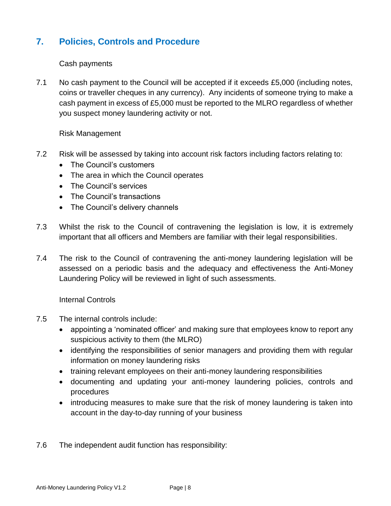#### **7. Policies, Controls and Procedure**

#### Cash payments

7.1 No cash payment to the Council will be accepted if it exceeds £5,000 (including notes, coins or traveller cheques in any currency). Any incidents of someone trying to make a cash payment in excess of £5,000 must be reported to the MLRO regardless of whether you suspect money laundering activity or not.

#### Risk Management

- 7.2 Risk will be assessed by taking into account risk factors including factors relating to:
	- The Council's customers
	- The area in which the Council operates
	- The Council's services
	- The Council's transactions
	- The Council's delivery channels
- 7.3 Whilst the risk to the Council of contravening the legislation is low, it is extremely important that all officers and Members are familiar with their legal responsibilities.
- 7.4 The risk to the Council of contravening the anti-money laundering legislation will be assessed on a periodic basis and the adequacy and effectiveness the Anti-Money Laundering Policy will be reviewed in light of such assessments.

Internal Controls

- 7.5 The internal controls include:
	- [appointing a 'nominated officer'](https://www.gov.uk/guidance/money-laundering-regulations-nominated-officers-and-employee-training) and making sure that employees know to report any [suspicious activity](https://www.gov.uk/guidance/money-laundering-regulations-report-suspicious-activities) to them (the MLRO)
	- identifying the responsibilities of senior managers and providing them with regular information on money laundering risks
	- training relevant employees on their anti-money laundering responsibilities
	- documenting and updating your anti-money laundering policies, controls and procedures
	- introducing measures to make sure that the risk of money laundering is taken into account in the day-to-day running of your business
- 7.6 The independent audit function has responsibility: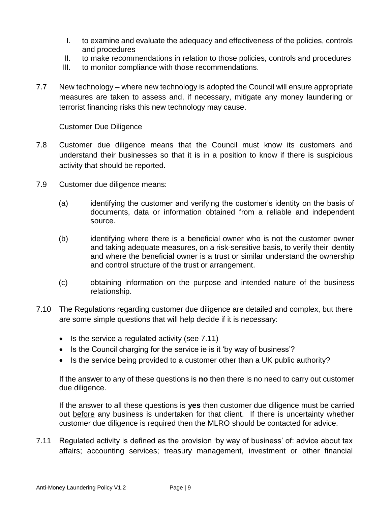- I. to examine and evaluate the adequacy and effectiveness of the policies, controls and procedures
- II. to make recommendations in relation to those policies, controls and procedures
- III. to monitor compliance with those recommendations.
- 7.7 New technology where new technology is adopted the Council will ensure appropriate measures are taken to assess and, if necessary, mitigate any money laundering or terrorist financing risks this new technology may cause.

Customer Due Diligence

- 7.8 Customer due diligence means that the Council must know its customers and understand their businesses so that it is in a position to know if there is suspicious activity that should be reported.
- 7.9 Customer due diligence means:
	- (a) identifying the customer and verifying the customer's identity on the basis of documents, data or information obtained from a reliable and independent source.
	- (b) identifying where there is a beneficial owner who is not the customer owner and taking adequate measures, on a risk-sensitive basis, to verify their identity and where the beneficial owner is a trust or similar understand the ownership and control structure of the trust or arrangement.
	- (c) obtaining information on the purpose and intended nature of the business relationship.
- 7.10 The Regulations regarding customer due diligence are detailed and complex, but there are some simple questions that will help decide if it is necessary:
	- $\bullet$  Is the service a regulated activity (see 7.11)
	- Is the Council charging for the service ie is it 'by way of business'?
	- Is the service being provided to a customer other than a UK public authority?

If the answer to any of these questions is **no** then there is no need to carry out customer due diligence.

If the answer to all these questions is **yes** then customer due diligence must be carried out before any business is undertaken for that client. If there is uncertainty whether customer due diligence is required then the MLRO should be contacted for advice.

7.11 Regulated activity is defined as the provision 'by way of business' of: advice about tax affairs; accounting services; treasury management, investment or other financial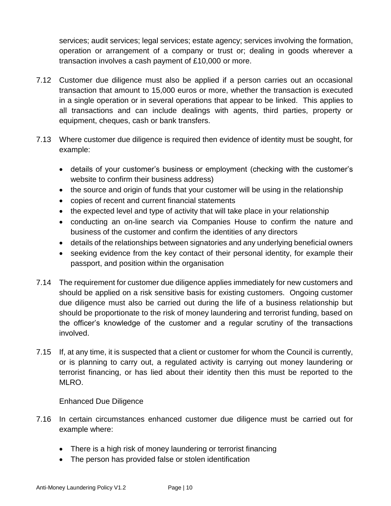services; audit services; legal services; estate agency; services involving the formation, operation or arrangement of a company or trust or; dealing in goods wherever a transaction involves a cash payment of £10,000 or more.

- 7.12 Customer due diligence must also be applied if a person carries out an occasional transaction that amount to 15,000 euros or more, whether the transaction is executed in a single operation or in several operations that appear to be linked. This applies to all transactions and can include dealings with agents, third parties, property or equipment, cheques, cash or bank transfers.
- 7.13 Where customer due diligence is required then evidence of identity must be sought, for example:
	- details of your customer's business or employment (checking with the customer's website to confirm their business address)
	- the source and origin of funds that your customer will be using in the relationship
	- copies of recent and current financial statements
	- the expected level and type of activity that will take place in your relationship
	- conducting an on-line search via Companies House to confirm the nature and business of the customer and confirm the identities of any directors
	- details of the relationships between signatories and any underlying beneficial owners
	- seeking evidence from the key contact of their personal identity, for example their passport, and position within the organisation
- 7.14 The requirement for customer due diligence applies immediately for new customers and should be applied on a risk sensitive basis for existing customers. Ongoing customer due diligence must also be carried out during the life of a business relationship but should be proportionate to the risk of money laundering and terrorist funding, based on the officer's knowledge of the customer and a regular scrutiny of the transactions involved.
- 7.15 If, at any time, it is suspected that a client or customer for whom the Council is currently, or is planning to carry out, a regulated activity is carrying out money laundering or terrorist financing, or has lied about their identity then this must be reported to the MLRO.

#### Enhanced Due Diligence

- 7.16 In certain circumstances enhanced customer due diligence must be carried out for example where:
	- There is a high risk of money laundering or terrorist financing
	- The person has provided false or stolen identification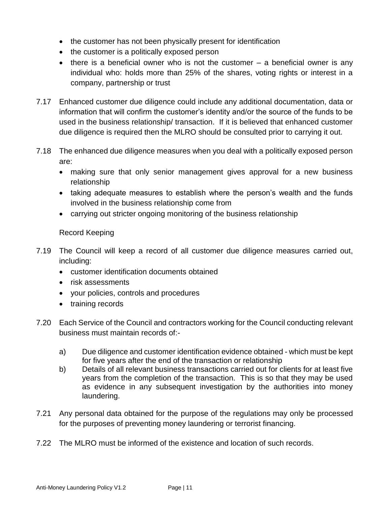- the customer has not been physically present for identification
- the customer is a politically exposed person
- $\bullet$  there is a beneficial owner who is not the customer  $-$  a beneficial owner is any individual who: holds more than 25% of the shares, voting rights or interest in a company, partnership or trust
- 7.17 Enhanced customer due diligence could include any additional documentation, data or information that will confirm the customer's identity and/or the source of the funds to be used in the business relationship/ transaction. If it is believed that enhanced customer due diligence is required then the MLRO should be consulted prior to carrying it out.
- 7.18 The enhanced due diligence measures when you deal with a politically exposed person are:
	- making sure that only senior management gives approval for a new business relationship
	- taking adequate measures to establish where the person's wealth and the funds involved in the business relationship come from
	- carrying out stricter ongoing monitoring of the business relationship

#### Record Keeping

- 7.19 The Council will keep a record of all customer due diligence measures carried out, including:
	- customer identification documents obtained
	- risk assessments
	- your policies, controls and procedures
	- training records
- 7.20 Each Service of the Council and contractors working for the Council conducting relevant business must maintain records of:
	- a) Due diligence and customer identification evidence obtained which must be kept for five years after the end of the transaction or relationship
	- b) Details of all relevant business transactions carried out for clients for at least five years from the completion of the transaction. This is so that they may be used as evidence in any subsequent investigation by the authorities into money laundering.
- 7.21 Any personal data obtained for the purpose of the regulations may only be processed for the purposes of preventing money laundering or terrorist financing.
- 7.22 The MLRO must be informed of the existence and location of such records.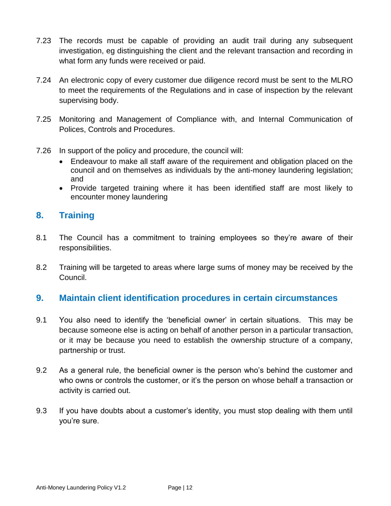- 7.23 The records must be capable of providing an audit trail during any subsequent investigation, eg distinguishing the client and the relevant transaction and recording in what form any funds were received or paid.
- 7.24 An electronic copy of every customer due diligence record must be sent to the MLRO to meet the requirements of the Regulations and in case of inspection by the relevant supervising body.
- 7.25 Monitoring and Management of Compliance with, and Internal Communication of Polices, Controls and Procedures.
- 7.26 In support of the policy and procedure, the council will:
	- Endeavour to make all staff aware of the requirement and obligation placed on the council and on themselves as individuals by the anti-money laundering legislation; and
	- Provide targeted training where it has been identified staff are most likely to encounter money laundering

#### **8. Training**

- 8.1 The Council has a commitment to training employees so they're aware of their responsibilities.
- 8.2 Training will be targeted to areas where large sums of money may be received by the Council.

#### **9. Maintain client identification procedures in certain circumstances**

- 9.1 You also need to identify the 'beneficial owner' in certain situations. This may be because someone else is acting on behalf of another person in a particular transaction, or it may be because you need to establish the ownership structure of a company, partnership or trust.
- 9.2 As a general rule, the beneficial owner is the person who's behind the customer and who owns or controls the customer, or it's the person on whose behalf a transaction or activity is carried out.
- 9.3 If you have doubts about a customer's identity, you must stop dealing with them until you're sure.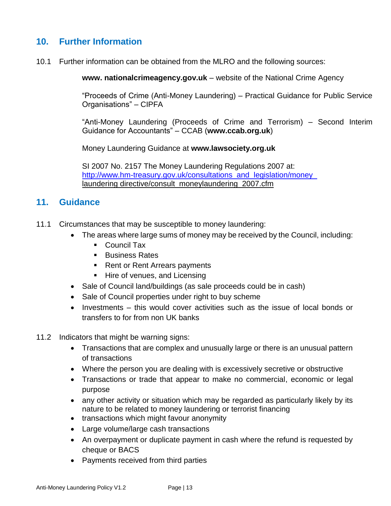#### **10. Further Information**

10.1 Further information can be obtained from the MLRO and the following sources:

**www. nationalcrimeagency.gov.uk** – website of the National Crime Agency

"Proceeds of Crime (Anti-Money Laundering) – Practical Guidance for Public Service Organisations" – CIPFA

"Anti-Money Laundering (Proceeds of Crime and Terrorism) – Second Interim Guidance for Accountants" – CCAB (**www.ccab.org.uk**)

Money Laundering Guidance at **www.lawsociety.org.uk** 

SI 2007 No. 2157 The Money Laundering Regulations 2007 at: http://www.hm-treasury.gov.uk/consultations and legislation/money laundering directive/consult\_moneylaundering\_2007.cfm

#### **11. Guidance**

- 11.1 Circumstances that may be susceptible to money laundering:
	- The areas where large sums of money may be received by the Council, including:
		- Council Tax
		- **Business Rates**
		- Rent or Rent Arrears payments
		- **Hire of venues, and Licensing**
	- Sale of Council land/buildings (as sale proceeds could be in cash)
	- Sale of Council properties under right to buy scheme
	- $\bullet$  Investments this would cover activities such as the issue of local bonds or transfers to for from non UK banks
- 11.2 Indicators that might be warning signs:
	- Transactions that are complex and unusually large or there is an unusual pattern of transactions
	- Where the person you are dealing with is excessively secretive or obstructive
	- Transactions or trade that appear to make no commercial, economic or legal purpose
	- any other activity or situation which may be regarded as particularly likely by its nature to be related to money laundering or terrorist financing
	- transactions which might favour anonymity
	- Large volume/large cash transactions
	- An overpayment or duplicate payment in cash where the refund is requested by cheque or BACS
	- Payments received from third parties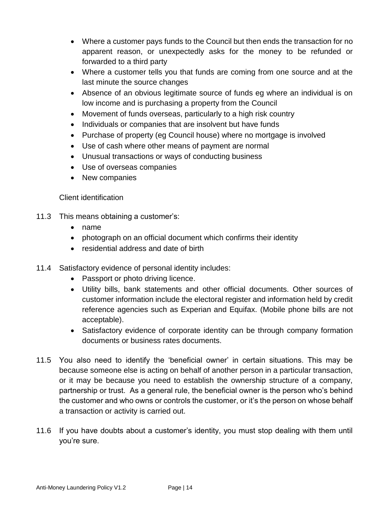- Where a customer pays funds to the Council but then ends the transaction for no apparent reason, or unexpectedly asks for the money to be refunded or forwarded to a third party
- Where a customer tells you that funds are coming from one source and at the last minute the source changes
- Absence of an obvious legitimate source of funds eg where an individual is on low income and is purchasing a property from the Council
- Movement of funds overseas, particularly to a high risk country
- Individuals or companies that are insolvent but have funds
- Purchase of property (eg Council house) where no mortgage is involved
- Use of cash where other means of payment are normal
- Unusual transactions or ways of conducting business
- Use of overseas companies
- New companies

#### Client identification

- 11.3 This means obtaining a customer's:
	- name
	- photograph on an official document which confirms their identity
	- residential address and date of birth
- 11.4 Satisfactory evidence of personal identity includes:
	- Passport or photo driving licence.
	- Utility bills, bank statements and other official documents. Other sources of customer information include the electoral register and information held by credit reference agencies such as Experian and Equifax. (Mobile phone bills are not acceptable).
	- Satisfactory evidence of corporate identity can be through company formation documents or business rates documents.
- 11.5 You also need to identify the 'beneficial owner' in certain situations. This may be because someone else is acting on behalf of another person in a particular transaction, or it may be because you need to establish the ownership structure of a company, partnership or trust. As a general rule, the beneficial owner is the person who's behind the customer and who owns or controls the customer, or it's the person on whose behalf a transaction or activity is carried out.
- 11.6 If you have doubts about a customer's identity, you must stop dealing with them until you're sure.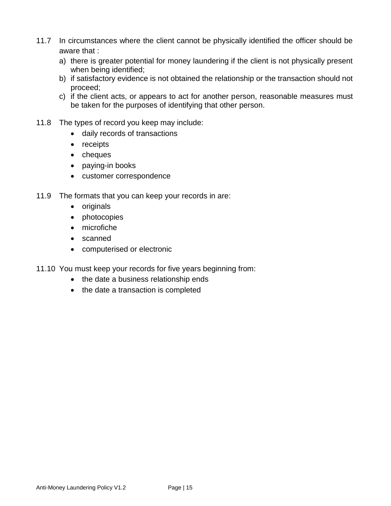- 11.7 In circumstances where the client cannot be physically identified the officer should be aware that :
	- a) there is greater potential for money laundering if the client is not physically present when being identified;
	- b) if satisfactory evidence is not obtained the relationship or the transaction should not proceed;
	- c) if the client acts, or appears to act for another person, reasonable measures must be taken for the purposes of identifying that other person.
- 11.8 The types of record you keep may include:
	- daily records of transactions
	- receipts
	- cheques
	- paying-in books
	- customer correspondence
- 11.9 The formats that you can keep your records in are:
	- originals
	- photocopies
	- microfiche
	- scanned
	- computerised or electronic
- 11.10 You must keep your records for five years beginning from:
	- the date a business relationship ends
	- the date a transaction is completed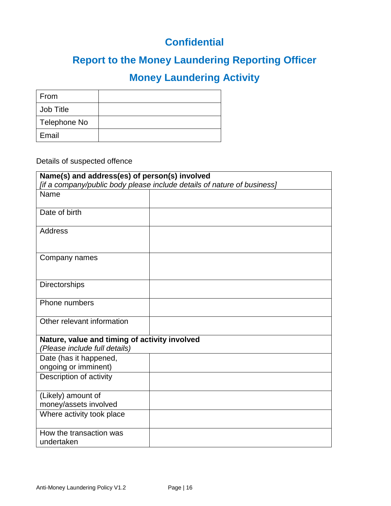### **Confidential**

## **Report to the Money Laundering Reporting Officer**

## **Money Laundering Activity**

| From         |  |
|--------------|--|
| Job Title    |  |
| Telephone No |  |
| Email        |  |

#### Details of suspected offence

| Name(s) and address(es) of person(s) involved                           |  |  |  |  |
|-------------------------------------------------------------------------|--|--|--|--|
| [if a company/public body please include details of nature of business] |  |  |  |  |
| Name                                                                    |  |  |  |  |
|                                                                         |  |  |  |  |
| Date of birth                                                           |  |  |  |  |
| Address                                                                 |  |  |  |  |
| Company names                                                           |  |  |  |  |
| Directorships                                                           |  |  |  |  |
| Phone numbers                                                           |  |  |  |  |
| Other relevant information                                              |  |  |  |  |
| Nature, value and timing of activity involved                           |  |  |  |  |
| (Please include full details)                                           |  |  |  |  |
| Date (has it happened,                                                  |  |  |  |  |
| ongoing or imminent)                                                    |  |  |  |  |
| Description of activity                                                 |  |  |  |  |
| (Likely) amount of                                                      |  |  |  |  |
| money/assets involved                                                   |  |  |  |  |
| Where activity took place                                               |  |  |  |  |
| How the transaction was                                                 |  |  |  |  |
| undertaken                                                              |  |  |  |  |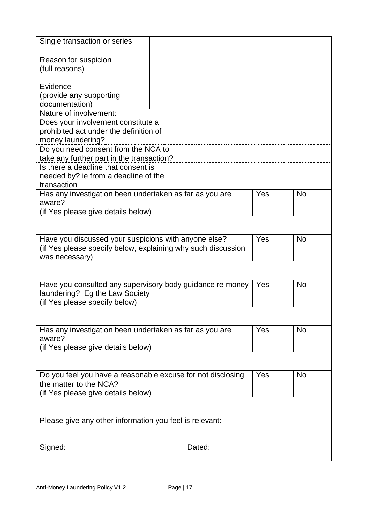| Single transaction or series                                                                                         |  |        |     |           |
|----------------------------------------------------------------------------------------------------------------------|--|--------|-----|-----------|
| Reason for suspicion<br>(full reasons)                                                                               |  |        |     |           |
| Evidence                                                                                                             |  |        |     |           |
| (provide any supporting<br>documentation)                                                                            |  |        |     |           |
| Nature of involvement:                                                                                               |  |        |     |           |
| Does your involvement constitute a                                                                                   |  |        |     |           |
| prohibited act under the definition of                                                                               |  |        |     |           |
| money laundering?<br>Do you need consent from the NCA to                                                             |  |        |     |           |
| take any further part in the transaction?                                                                            |  |        |     |           |
| Is there a deadline that consent is                                                                                  |  |        |     |           |
| needed by? ie from a deadline of the                                                                                 |  |        |     |           |
| transaction<br>Has any investigation been undertaken as far as you are                                               |  |        | Yes | <b>No</b> |
| aware?                                                                                                               |  |        |     |           |
| (if Yes please give details below)                                                                                   |  |        |     |           |
|                                                                                                                      |  |        |     |           |
|                                                                                                                      |  |        | Yes |           |
| Have you discussed your suspicions with anyone else?<br>(if Yes please specify below, explaining why such discussion |  |        |     | <b>No</b> |
| was necessary)                                                                                                       |  |        |     |           |
|                                                                                                                      |  |        |     |           |
|                                                                                                                      |  |        |     |           |
| Have you consulted any supervisory body guidance re money<br>laundering? Eg the Law Society                          |  |        | Yes | <b>No</b> |
| (if Yes please specify below)                                                                                        |  |        |     |           |
|                                                                                                                      |  |        |     |           |
|                                                                                                                      |  |        |     |           |
| Has any investigation been undertaken as far as you are<br>aware?                                                    |  |        | Yes | <b>No</b> |
| (if Yes please give details below)                                                                                   |  |        |     |           |
|                                                                                                                      |  |        |     |           |
|                                                                                                                      |  |        |     |           |
| Do you feel you have a reasonable excuse for not disclosing<br>the matter to the NCA?                                |  |        | Yes | <b>No</b> |
| (if Yes please give details below)                                                                                   |  |        |     |           |
|                                                                                                                      |  |        |     |           |
|                                                                                                                      |  |        |     |           |
| Please give any other information you feel is relevant:                                                              |  |        |     |           |
|                                                                                                                      |  |        |     |           |
| Signed:                                                                                                              |  | Dated: |     |           |
|                                                                                                                      |  |        |     |           |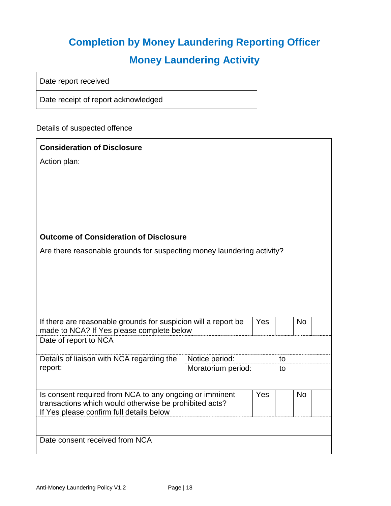## **Completion by Money Laundering Reporting Officer**

## **Money Laundering Activity**

| Date report received                |  |
|-------------------------------------|--|
| Date receipt of report acknowledged |  |

#### Details of suspected offence

| <b>Consideration of Disclosure</b>                                                                                              |                    |  |    |  |  |
|---------------------------------------------------------------------------------------------------------------------------------|--------------------|--|----|--|--|
| Action plan:                                                                                                                    |                    |  |    |  |  |
|                                                                                                                                 |                    |  |    |  |  |
|                                                                                                                                 |                    |  |    |  |  |
|                                                                                                                                 |                    |  |    |  |  |
|                                                                                                                                 |                    |  |    |  |  |
|                                                                                                                                 |                    |  |    |  |  |
| <b>Outcome of Consideration of Disclosure</b>                                                                                   |                    |  |    |  |  |
| Are there reasonable grounds for suspecting money laundering activity?                                                          |                    |  |    |  |  |
|                                                                                                                                 |                    |  |    |  |  |
|                                                                                                                                 |                    |  |    |  |  |
|                                                                                                                                 |                    |  |    |  |  |
|                                                                                                                                 |                    |  |    |  |  |
|                                                                                                                                 |                    |  |    |  |  |
| If there are reasonable grounds for suspicion will a report be<br>Yes<br><b>No</b><br>made to NCA? If Yes please complete below |                    |  |    |  |  |
| Date of report to NCA                                                                                                           |                    |  |    |  |  |
| Details of liaison with NCA regarding the                                                                                       | Notice period:     |  | to |  |  |
| report:                                                                                                                         | Moratorium period: |  | to |  |  |
|                                                                                                                                 |                    |  |    |  |  |
| Is consent required from NCA to any ongoing or imminent<br>Yes<br><b>No</b>                                                     |                    |  |    |  |  |
| transactions which would otherwise be prohibited acts?                                                                          |                    |  |    |  |  |
| If Yes please confirm full details below                                                                                        |                    |  |    |  |  |
|                                                                                                                                 |                    |  |    |  |  |
| Date consent received from NCA                                                                                                  |                    |  |    |  |  |
|                                                                                                                                 |                    |  |    |  |  |